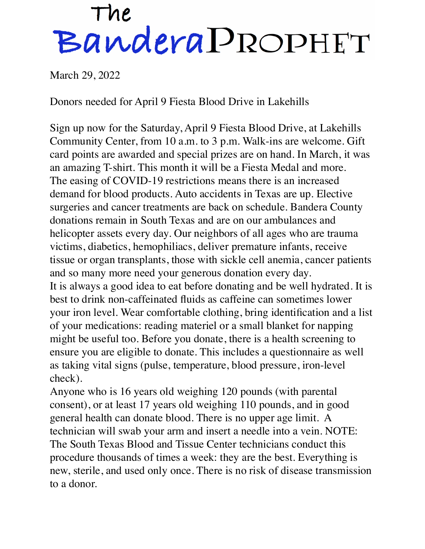## The<br>Bandera PROPHET

March 29, 2022

Donors needed for April 9 Fiesta Blood Drive in Lakehills

Sign up now for the Saturday, April 9 Fiesta Blood Drive, at Lakehills Community Center, from 10 a.m. to 3 p.m. Walk-ins are welcome. Gift card points are awarded and special prizes are on hand. In March, it was an amazing T-shirt. This month it will be a Fiesta Medal and more. The easing of COVID-19 restrictions means there is an increased demand for blood products. Auto accidents in Texas are up. Elective surgeries and cancer treatments are back on schedule. Bandera County donations remain in South Texas and are on our ambulances and helicopter assets every day. Our neighbors of all ages who are trauma victims, diabetics, hemophiliacs, deliver premature infants, receive tissue or organ transplants, those with sickle cell anemia, cancer patients and so many more need your generous donation every day. It is always a good idea to eat before donating and be well hydrated. It is best to drink non-caffeinated fluids as caffeine can sometimes lower your iron level. Wear comfortable clothing, bring identification and a list of your medications: reading materiel or a small blanket for napping might be useful too. Before you donate, there is a health screening to ensure you are eligible to donate. This includes a questionnaire as well as taking vital signs (pulse, temperature, blood pressure, iron-level check).

Anyone who is 16 years old weighing 120 pounds (with parental consent), or at least 17 years old weighing 110 pounds, and in good general health can donate blood. There is no upper age limit. A technician will swab your arm and insert a needle into a vein. NOTE: The South Texas Blood and Tissue Center technicians conduct this procedure thousands of times a week: they are the best. Everything is new, sterile, and used only once. There is no risk of disease transmission to a donor.